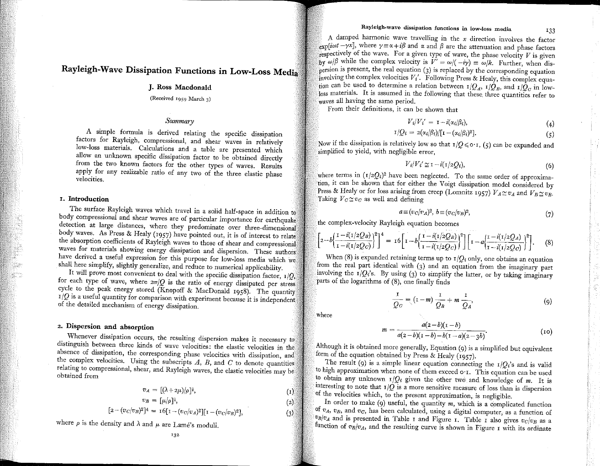# **Rayleigh-Wave Dissipation Functions in Low-Loss Medi**

## **J. Ross Macdonald**

## **(Received 1959 March 3)**

# *Summary*

A simple formula is derived relating the specific dissipation factors for Rayleigh, compressional, and shear waves in relatively low-loss materials. Calculations and a table are presented which allow an unknown specific dissipation factor to be obtained directly from the two known factors for the other types of waves. Results apply for any realizable ratio of any two of the three elastic phase **velocities.**

## r, **Introduction**

The surface Rayleigh waves which travel in a solid half-space in addition t body compressional and shear waves are of particular importance for earthquak **detection at large distances, where they predominate over three-dimension** body waves. As Press & Healy (1957) have pointed out, it is of interest to relate the absorption coefficients of Rayleigh waves to those of shear and compressiona waves for materials showing energy dissipation and dispersion. These authors have derived a useful expression for this purpose for low-loss media which we shall here simplify, slightly generalize, and reduce to numerical applicability.

It will prove most convenient to deal with the specific dissipation factor,  $r/Q$ , for each type of wave, where  $2\pi/Q$  is the ratio of energy dissipated per stress cycle to the peak energy stored (Knopoff & MacDonald r958). The quantity *r/Q* is a useful quantity for comparison with experiment because it is independent of the detailed mechanism of energy dissipation.

## z, **Dispersion and absorption**

**Whenever dissipation occurs, the resulting dispersion makes it necessary to** distinguish between three kinds of wave velocities: the elastic velocities in the **absence of dissipation, the corresponding phase velocities with dissipation, an** the complex velocities. Using the subscripts  $A$ ,  $B$ , and  $C$  to denote quantities **relating to compressional, shear, and Rayleigh waves, the elastic velocities may be** obtained from

$$
v_A = [(\lambda + 2\mu)/\rho]^{\frac{1}{2}},
$$
  
\n
$$
v_B = [\mu/\rho]^{\frac{1}{2}},
$$
  
\n
$$
[2 - (v_C/v_B)^2]^4 = 16[1 - (v_C/v_A)^2][1 - (v_C/v_B)^2],
$$
  
\n(3)

where  $\rho$  is the density and  $\lambda$  and  $\mu$  are Lame's moduli.

**A damped harmonic wave travelling in the** *x* **direction involves the factor**  $\exp[i\omega t - \gamma x]$ , where  $\gamma = \alpha + i\beta$  and  $\alpha$  and  $\beta$  are the attenuation and phase factors  $\frac{1}{10}$  fe; exercively of the wave. For a given type of wave, the phase velocity V is given  $\frac{1}{2}$  the complex velocity is  $V' = \omega/(-i\gamma) = \omega/k$ . Further, when dis- $\epsilon$ <sub>nersion</sub> is present, the real equation (3) is replaced by the corresponding equation  $ii$ <sub>involving</sub> the complex velocities  $V_i'$ . Following Press & Healy, this complex equation can be used to determine a relation between  $r/Q_A$ ,  $r/Q_B$ , and  $r/Q_C$  in lowloss materials. It is assumed in the following that these three quantities refer to waves all having the same period.

**From their definitions, it can be shown that**

$$
V_i/V_i' = \mathbf{1} - i(\alpha_i/\beta_i), \tag{4}
$$

$$
I/Q_i = 2(\alpha_i/\beta_i)/[\Gamma - (\alpha_i/\beta_i)^2]. \qquad (5)
$$

if the dissipation is relatively low so that  $\mathbb{I}/Q \leq \mathbb{I}$  , (5) can be expanded and simplified to yield, with negligible error,

$$
V_i/V_i' \simeq 1 - i(1/2Q_i),\tag{6}
$$

where terms in  $\left(\frac{r}{2Q_i}\right)^2$  have been neglected. To the same order of approximation, it can be shown that for either the Voigt dissipation model considered by Press & Healy or for loss arising from creep (Lomnitz 1957)  $V_A \cong v_A$  and  $V_B \cong v_B$ . Taking  $V_C \cong v_C$  as well and defining

$$
a \equiv (v_C/v_A)^2, \ b \equiv (v_C/v_B)^2,\tag{7}
$$

the complex-velocity Rayleigh equation becomes

$$
\left[2-b\left(\frac{1-i(1/2Q_B)}{1-i(1/2Q_C)}\right)^2\right]^4 = 16\left[1-b\left(\frac{1-i(1/2Q_B)}{1-i(1/2Q_C)}\right)^2\right]\left[1-a\left(\frac{1-i(1/2Q_A)}{1-i(1/2Q_C)}\right)^2\right].
$$
 (8)

When (8) is expanded retaining terms up to  $I/Q_i$  only, one obtains an equation from the real part identical with (3) and an equation from the imaginary part involving the  $I/Q_i$ 's. By using (3) to simplify the latter, or by taking imaginary parts of the logarithms of (8), one finally finds

$$
\frac{1}{Q_C} = (1-m)\frac{1}{Q_B} + m\frac{1}{Q_A},\tag{9}
$$

where

$$
m = \frac{a(z-b)(1-b)}{a(z-b)(1-b)-b(1-a)(2-3b)}.
$$
 (10)

Although it is obtained more generally, Equation (9) is a simplified but equivalent form of the equation obtained by Press & Healy (1957).

The result (9) is a simple linear equation connecting the  $\frac{1}{Q_i}$ 's and is valid to high approximation when none of them exceed o·r. This equation can be used to obtain any unknown  $I/Q_i$  given the other two and knowledge of *m*. It is interesting to note that  $\tau/Q$  is a more sensitive measure of loss than is dispersion of the velocities which, to the present approximation, is negligible.

In order to make (9) useful, the quantity *m,* which is a complicated function of  $v_A$ ,  $v_B$ , and  $v_C$ , has been calculated, using a digital computer, as a function of  $v_B/v_A$  and is presented in Table r and Figure r. Table r also gives  $v_C/v_B$  as a function of  $v_B/v_A$ , and the resulting curve is shown in Figure r with its ordinate